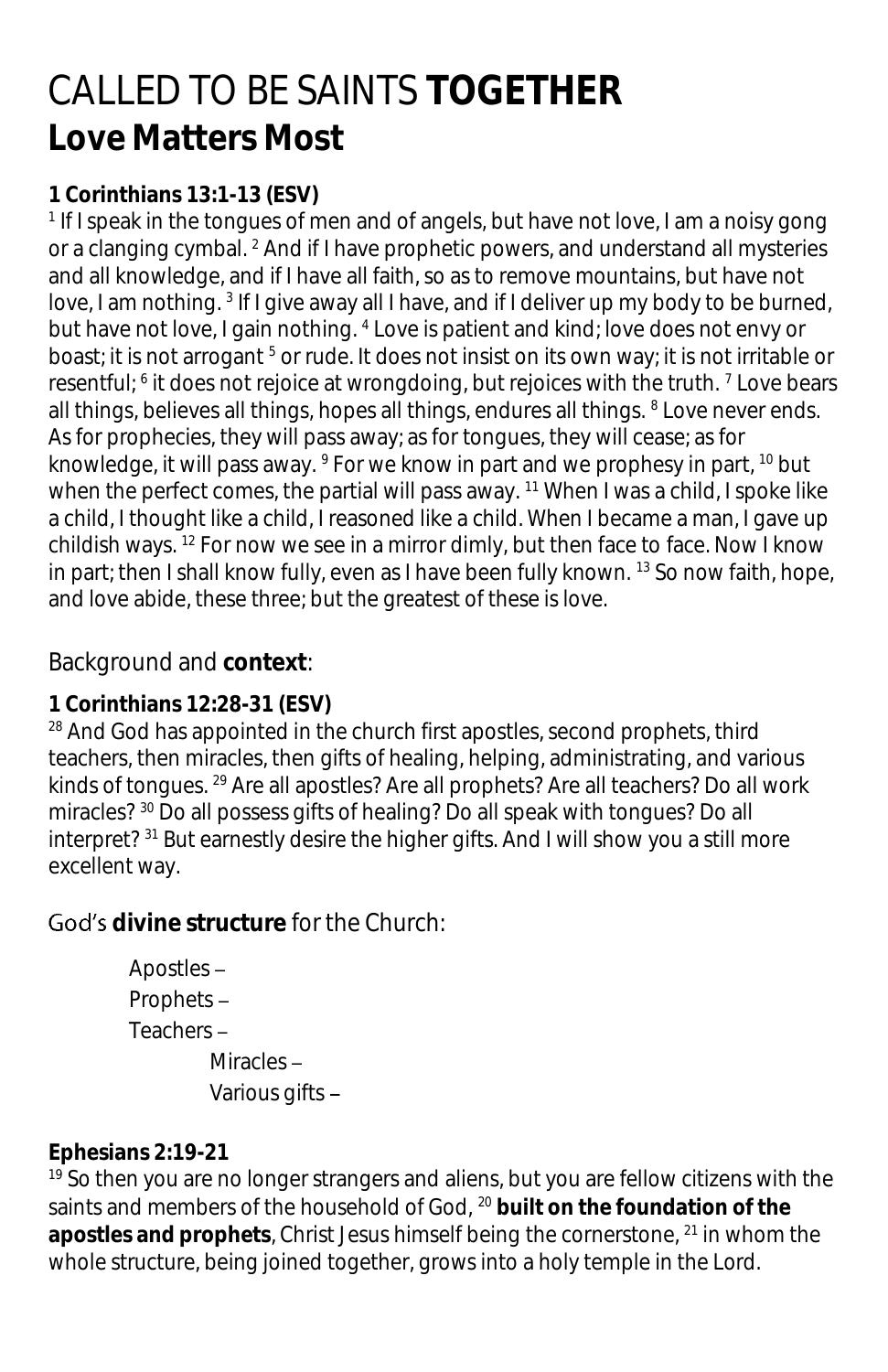# CALLED TO BE SAINTS **TOGETHER Love Matters Most**

### **1 Corinthians 13:1-13 (ESV)**

<sup>1</sup> If I speak in the tongues of men and of angels, but have not love, I am a noisy gong or a clanging cymbal. <sup>2</sup> And if I have prophetic powers, and understand all mysteries and all knowledge, and if I have all faith, so as to remove mountains, but have not love, I am nothing. <sup>3</sup> If I give away all I have, and if I deliver up my body to be burned, but have not love, I gain nothing. <sup>4</sup> Love is patient and kind; love does not envy or boast; it is not arrogant<sup>5</sup> or rude. It does not insist on its own way; it is not irritable or resentful; <sup>6</sup> it does not rejoice at wrongdoing, but rejoices with the truth. <sup>7</sup> Love bears all things, believes all things, hopes all things, endures all things. <sup>8</sup> Love never ends. As for prophecies, they will pass away; as for tongues, they will cease; as for knowledge, it will pass away. <sup>9</sup> For we know in part and we prophesy in part, <sup>10</sup> but when the perfect comes, the partial will pass away.  $11$  When I was a child, I spoke like a child, I thought like a child, I reasoned like a child. When I became a man, I gave up childish ways.  $12$  For now we see in a mirror dimly, but then face to face. Now I know in part; then I shall know fully, even as I have been fully known. <sup>13</sup> So now faith, hope, and love abide, these three; but the greatest of these is love.

# Background and **context**:

#### **1 Corinthians 12:28-31 (ESV)**

<sup>28</sup> And God has appointed in the church first apostles, second prophets, third teachers, then miracles, then gifts of healing, helping, administrating, and various kinds of tongues. <sup>29</sup> Are all apostles? Are all prophets? Are all teachers? Do all work miracles? <sup>30</sup> Do all possess gifts of healing? Do all speak with tongues? Do all interpret? <sup>31</sup> But earnestly desire the higher gifts. And I will show you a still more excellent way.

# **divine structure** for the Church:

```
Apostles 
Prophets 
Teachers 
        Miracles-
        Various gifts
```
#### **Ephesians 2:19-21**

<sup>19</sup> So then you are no longer strangers and aliens, but you are fellow citizens with the saints and members of the household of God, <sup>20</sup> **built on the foundation of the apostles and prophets**, Christ Jesus himself being the cornerstone, <sup>21</sup> in whom the whole structure, being joined together, grows into a holy temple in the Lord.